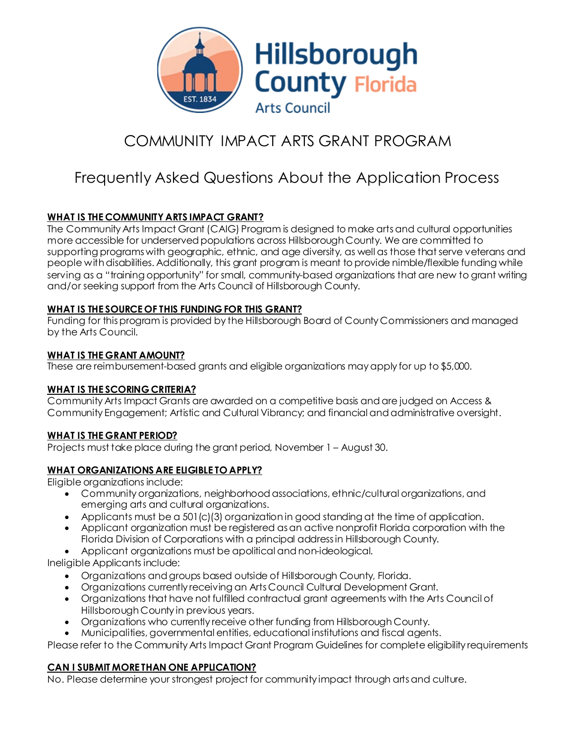

# COMMUNITY IMPACT ARTS GRANT PROGRAM

# Frequently Asked Questions About the Application Process

## **WHAT IS THE COMMUNITY ARTS IMPACT GRANT?**

The Community Arts Impact Grant (CAIG) Program is designed to make arts and cultural opportunities more accessible for underserved populations across Hillsborough County. We are committed to supporting programs with geographic, ethnic, and age diversity, as well as those that serve veterans and people with disabilities. Additionally, this grant program is meant to provide nimble/flexible funding while serving as a "training opportunity" for small, community-based organizations that are new to grant writing and/or seeking support from the Arts Council of Hillsborough County.

#### **WHAT IS THE SOURCE OF THIS FUNDING FOR THIS GRANT?**

Funding for this program is provided by the Hillsborough Board of County Commissioners and managed by the Arts Council.

#### **WHAT IS THE GRANT AMOUNT?**

These are reimbursement-based grants and eligible organizations may apply for up to \$5,000.

### **WHAT IS THE SCORING CRITERIA?**

Community Arts Impact Grants are awarded on a competitive basis and are judged on Access & Community Engagement; Artistic and Cultural Vibrancy; and financial and administrative oversight.

### **WHAT IS THE GRANT PERIOD?**

Projects must take place during the grant period, November 1 – August 30.

### **WHAT ORGANIZATIONS ARE ELIGIBLE TO APPLY?**

Eligible organizations include:

- Community organizations, neighborhood associations, ethnic/cultural organizations, and emerging arts and cultural organizations.
- Applicants must be a 501(c)(3) organization in good standing at the time of application.
- Applicant organization must be registered as an active nonprofit Florida corporation with the Florida Division of Corporations with a principal address in Hillsborough County.
- Applicant organizations must be apolitical and non-ideological.

Ineligible Applicants include:

- Organizations and groups based outside of Hillsborough County, Florida.
- Organizations currently receiving an Arts Council Cultural Development Grant.
- Organizations that have not fulfilled contractual grant agreements with the Arts Council of Hillsborough County in previous years.
- Organizations who currently receive other funding from Hillsborough County.
- Municipalities, governmental entities, educational institutions and fiscal agents.

Please refer to the Community Arts Impact Grant Program Guidelines for complete eligibility requirements

### **CAN I SUBMIT MORE THAN ONE APPLICATION?**

No. Please determine your strongest project for community impact through arts and culture.